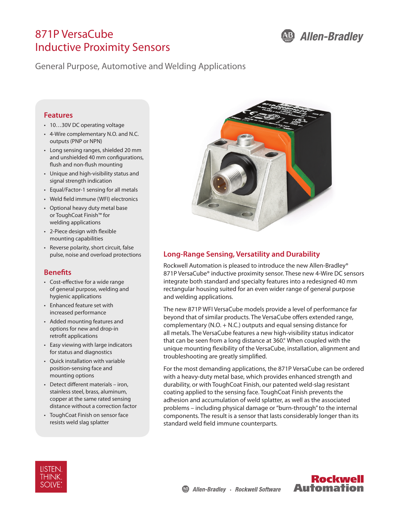# 871P VersaCube Inductive Proximity Sensors



General Purpose, Automotive and Welding Applications

#### **Features**

- 10…30V DC operating voltage
- 4-Wire complementary N.O. and N.C. outputs (PNP or NPN)
- Long sensing ranges, shielded 20 mm and unshielded 40 mm configurations, flush and non-flush mounting
- Unique and high-visibility status and signal strength indication
- Equal/Factor-1 sensing for all metals
- Weld field immune (WFI) electronics
- Optional heavy duty metal base or ToughCoat Finish™ for welding applications
- 2-Piece design with flexible mounting capabilities
- Reverse polarity, short circuit, false pulse, noise and overload protections

## **Benefits**

- Cost-effective for a wide range of general purpose, welding and hygienic applications
- Enhanced feature set with increased performance
- Added mounting features and options for new and drop-in retrofit applications
- Easy viewing with large indicators for status and diagnostics
- Quick installation with variable position-sensing face and mounting options
- Detect different materials iron, stainless steel, brass, aluminum, copper at the same rated sensing distance without a correction factor
- ToughCoat Finish on sensor face resists weld slag splatter



## **Long-Range Sensing, Versatility and Durability**

Rockwell Automation is pleased to introduce the new Allen-Bradley® 871P VersaCube<sup>®</sup> inductive proximity sensor. These new 4-Wire DC sensors integrate both standard and specialty features into a redesigned 40 mm rectangular housing suited for an even wider range of general purpose and welding applications.

The new 871P WFI VersaCube models provide a level of performance far beyond that of similar products. The VersaCube offers extended range, complementary (N.O. + N.C.) outputs and equal sensing distance for all metals. The VersaCube features a new high-visibility status indicator that can be seen from a long distance at 360.° When coupled with the unique mounting flexibility of the VersaCube, installation, alignment and troubleshooting are greatly simplified.

For the most demanding applications, the 871P VersaCube can be ordered with a heavy-duty metal base, which provides enhanced strength and durability, or with ToughCoat Finish, our patented weld-slag resistant coating applied to the sensing face. ToughCoat Finish prevents the adhesion and accumulation of weld splatter, as well as the associated problems – including physical damage or "burn-through" to the internal components. The result is a sensor that lasts considerably longer than its standard weld field immune counterparts.